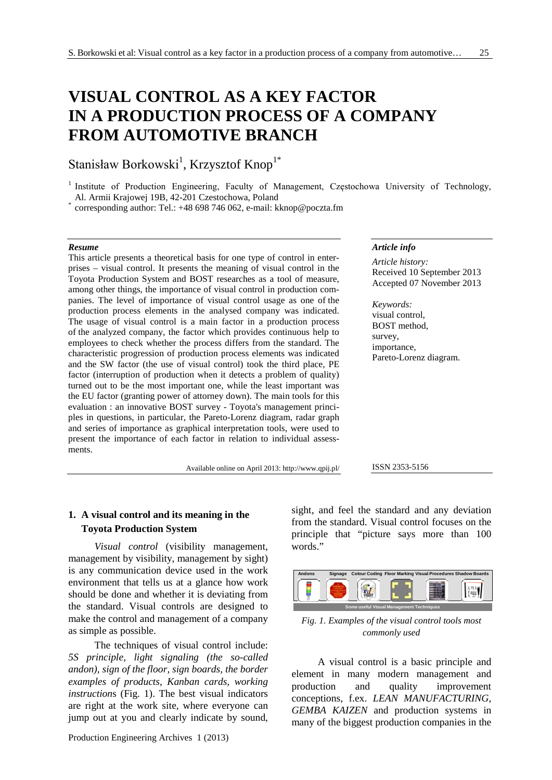# **VISUAL CONTROL AS A KEY FACTOR IN A PRODUCTION PROCESS OF A COMPANY FROM AUTOMOTIVE BRANCH**

## Stanisław Borkowski<sup>1</sup>, Krzysztof Knop<sup>1\*</sup>

<sup>1</sup> Institute of Production Engineering, Faculty of Management, Częstochowa University of Technology, Al. Armii Krajowej 19B, 42-201 Czestochowa, Poland

corresponding author: Tel.: +48 698 746 062, e-mail: kknop@poczta.fm

#### *Resume*

This article presents a theoretical basis for one type of control in enterprises – visual control. It presents the meaning of visual control in the Toyota Production System and BOST researches as a tool of measure, among other things, the importance of visual control in production companies. The level of importance of visual control usage as one of the production process elements in the analysed company was indicated. The usage of visual control is a main factor in a production process of the analyzed company, the factor which provides continuous help to employees to check whether the process differs from the standard. The characteristic progression of production process elements was indicated and the SW factor (the use of visual control) took the third place, PE factor (interruption of production when it detects a problem of quality) turned out to be the most important one, while the least important was the EU factor (granting power of attorney down). The main tools for this evaluation : an innovative BOST survey - Toyota's management principles in questions, in particular, the Pareto-Lorenz diagram, radar graph and series of importance as graphical interpretation tools, were used to present the importance of each factor in relation to individual assessments.

Available online on April 2013: http://www.qpij.pl/

#### *Article info*

*Article history:* Received 10 September 2013 Accepted 07 November 2013

*Keywords:* visual control, BOST method, survey, importance, Pareto-Lorenz diagram.

#### ISSN 2353-5156

## **1. A visual control and its meaning in the Toyota Production System**

*Visual control* (visibility management, management by visibility, management by sight) is any communication device used in the work environment that tells us at a glance how work should be done and whether it is deviating from the standard. Visual controls are designed to make the control and management of a company as simple as possible.

The techniques of visual control include: *5S principle, light signaling (the so-called andon), sign of the floor, sign boards, the border examples of products, Kanban cards, working instruction*s (Fig. 1). The best visual indicators are right at the work site, where everyone can jump out at you and clearly indicate by sound,

Production Engineering Archives 1 (2013)

sight, and feel the standard and any deviation from the standard. Visual control focuses on the principle that "picture says more than 100 words."



*Fig. 1. Examples of the visual control tools most commonly used* 

A visual control is a basic principle and element in many modern management and production and quality improvement conceptions, f.ex. *LEAN MANUFACTURING*, *GEMBA KAIZEN* and production systems in many of the biggest production companies in the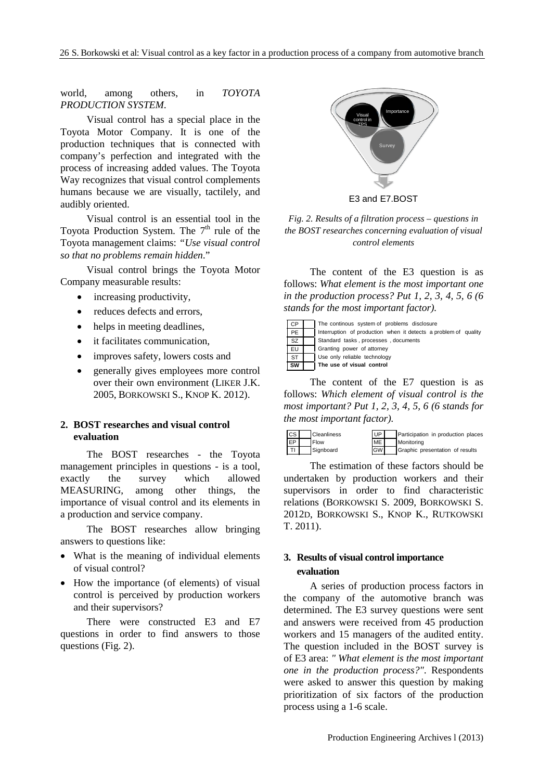world, among others, in *TOYOTA PRODUCTION SYSTEM*.

Visual control has a special place in the Toyota Motor Company. It is one of the production techniques that is connected with company's perfection and integrated with the process of increasing added values. The Toyota Way recognizes that visual control complements humans because we are visually, tactilely, and audibly oriented.

Visual control is an essential tool in the Toyota Production System. The  $7<sup>th</sup>$  rule of the Toyota management claims: *"Use visual control so that no problems remain hidden*."

Visual control brings the Toyota Motor Company measurable results:

- increasing productivity,
- reduces defects and errors,
- helps in meeting deadlines,
- it facilitates communication,
- improves safety, lowers costs and
- generally gives employees more control over their own environment (LIKER J.K. 2005, BORKOWSKI S., KNOP K. 2012).

## **2. BOST researches and visual control evaluation**

The BOST researches - the Toyota management principles in questions - is a tool, exactly the survey which allowed MEASURING, among other things, the importance of visual control and its elements in a production and service company.

The BOST researches allow bringing answers to questions like:

- What is the meaning of individual elements of visual control?
- How the importance (of elements) of visual control is perceived by production workers and their supervisors?

There were constructed E3 and E7 questions in order to find answers to those questions (Fig. 2).



E3 and E7.BOST

*Fig. 2. Results of a filtration process – questions in the BOST researches concerning evaluation of visual control elements*

The content of the E3 question is as follows: *What element is the most important one in the production process? Put 1, 2, 3, 4, 5, 6 (6 stands for the most important factor).*

| . CP                   | The continous system of problems disclosure                     |
|------------------------|-----------------------------------------------------------------|
| PE                     | Interruption of production when it detects a problem of quality |
| $\overline{\text{sz}}$ | Standard tasks, processes, documents                            |
| EU                     | Granting power of attorney                                      |
| <b>ST</b>              | Use only reliable technology                                    |
| SW                     | The use of visual control                                       |

The content of the E7 question is as follows: *Which element of visual control is the most important? Put 1, 2, 3, 4, 5, 6 (6 stands for the most important factor).* 



The estimation of these factors should be undertaken by production workers and their supervisors in order to find characteristic relations (BORKOWSKI S. 2009, BORKOWSKI S. 2012D, BORKOWSKI S., KNOP K., RUTKOWSKI T. 2011).

## **3. Results of visual control importance evaluation**

A series of production process factors in the company of the automotive branch was determined. The E3 survey questions were sent and answers were received from 45 production workers and 15 managers of the audited entity. The question included in the BOST survey is of E3 area: *" What element is the most important one in the production process?"*. Respondents were asked to answer this question by making prioritization of six factors of the production process using a 1-6 scale.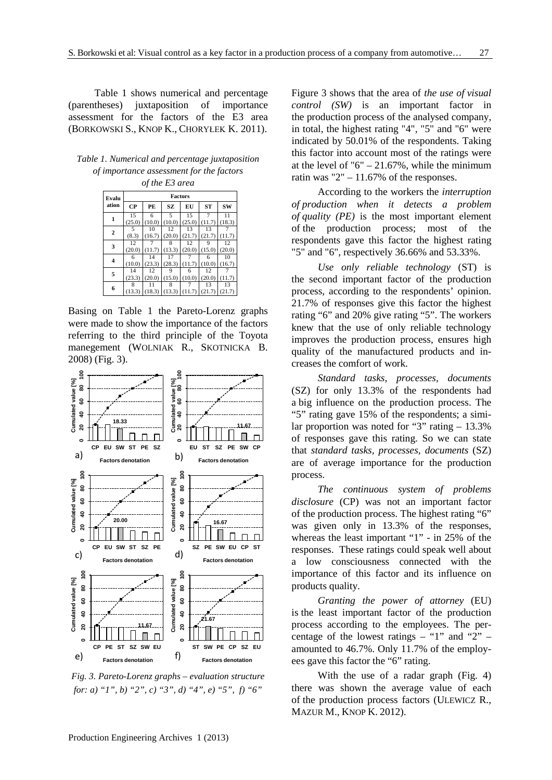Table 1 shows numerical and percentage (parentheses) juxtaposition of importance assessment for the factors of the E3 area (BORKOWSKI S., KNOP K., CHORYŁEK K. 2011).

| Table 1. Numerical and percentage juxtaposition |
|-------------------------------------------------|
| of importance assessment for the factors        |

| of the E3 area |                |        |        |        |           |        |  |  |  |
|----------------|----------------|--------|--------|--------|-----------|--------|--|--|--|
| Evalu          | <b>Factors</b> |        |        |        |           |        |  |  |  |
| ation          | <b>CP</b>      | PE     | SZ     | EU     | <b>ST</b> | SW     |  |  |  |
| 1              | 15             | 6      | 5      | 15     | 7         | 11     |  |  |  |
|                | (25.0)         | (10.0) | (10.0) | (25.0) | (11.7)    | (18.3) |  |  |  |
| 2              | 5              | 10     | 12     | 13     | 13        |        |  |  |  |
|                | (8.3)          | (16.7) | (20.0) | (21.7) | (21.7)    | (11.7) |  |  |  |
| 3              | 12             |        | 8      | 12     | 9         | 12     |  |  |  |
|                | (20.0)         | (11.7) | (13.3) | (20.0) | (15.0)    | (20.0) |  |  |  |
| 4              | 6              | 14     | 17     |        | 6         | 10     |  |  |  |
|                | (10.0)         | (23.3) | (28.3) | (11.7) | (10.0)    | (16.7) |  |  |  |
| 5              | 14             | 12     | 9      | 6      | 12        |        |  |  |  |
|                | (23.3)         | (20.0) | (15.0) | (10.0) | (20.0)    | (11.7) |  |  |  |
|                | 8              | 11     | 8      | 7      | 13        | 13     |  |  |  |
| 6              | (13.3)         | (18.3) | (13.3) | (11.7) | (21.7)    | (21.7) |  |  |  |

Basing on Table 1 the Pareto-Lorenz graphs were made to show the importance of the factors referring to the third principle of the Toyota manegement (WOLNIAK R., SKOTNICKA B. 2008) (Fig. 3).



*Fig. 3. Pareto-Lorenz graphs – evaluation structure for: a) "1", b) "2", c) "3", d) "4", e) "5", f) "6"*

Figure 3 shows that the area of *the use of visual control (SW)* is an important factor in the production process of the analysed company, in total, the highest rating "4", "5" and "6" were indicated by 50.01% of the respondents. Taking this factor into account most of the ratings were at the level of " $6" - 21.67\%$ , while the minimum ratin was "2"  $- 11.67\%$  of the responses.

According to the workers the *interruption of production when it detects a problem of quality (PE)* is the most important element of the production process; most of the respondents gave this factor the highest rating "5" and "6", respectively 36.66% and 53.33%.

*Use only reliable technology* (ST) is the second important factor of the production process, according to the respondents' opinion. 21.7% of responses give this factor the highest rating "6" and 20% give rating "5". The workers knew that the use of only reliable technology improves the production process, ensures high quality of the manufactured products and increases the comfort of work.

*Standard tasks, processes, documents* (SZ) for only 13.3% of the respondents had a big influence on the production process. The "5" rating gave 15% of the respondents; a similar proportion was noted for "3" rating – 13.3% of responses gave this rating. So we can state that *standard tasks, processes, documents* (SZ) are of average importance for the production process.

*The continuous system of problems disclosure* (CP) was not an important factor of the production process. The highest rating "6" was given only in 13.3% of the responses, whereas the least important "1" - in 25% of the responses. These ratings could speak well about a low consciousness connected with the importance of this factor and its influence on products quality.

*Granting the power of attorney* (EU) is the least important factor of the production process according to the employees. The percentage of the lowest ratings – "1" and "2" – amounted to 46.7%. Only 11.7% of the employees gave this factor the "6" rating.

With the use of a radar graph (Fig. 4) there was shown the average value of each of the production process factors (ULEWICZ R., MAZUR M., KNOP K. 2012).